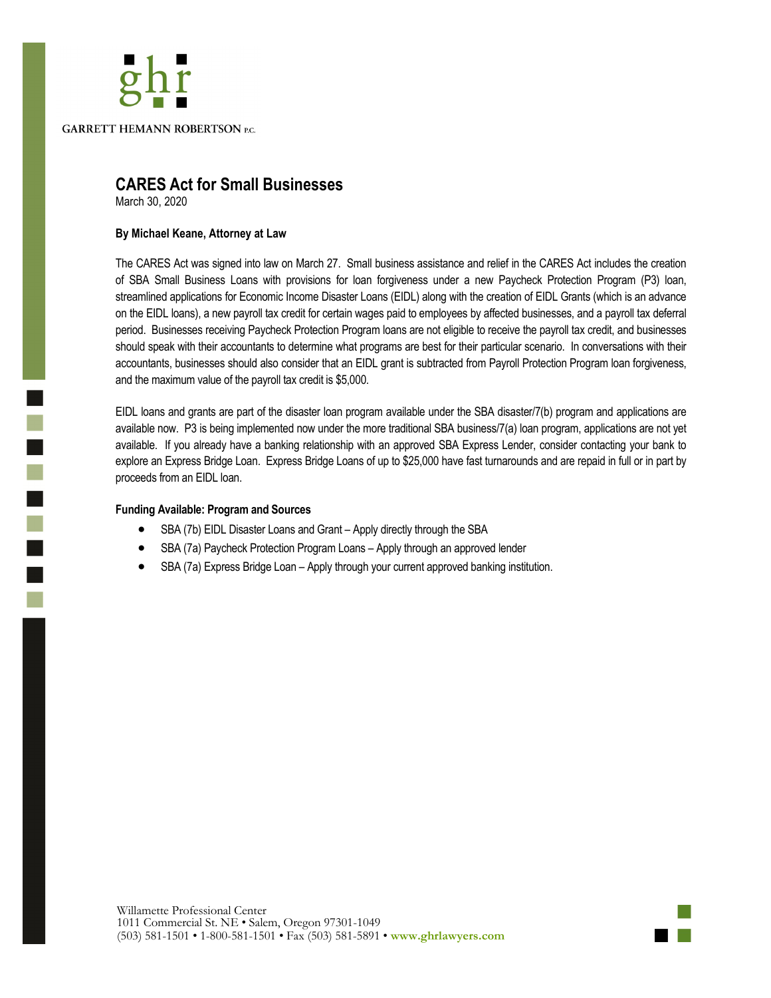## **GARRETT HEMANN ROBERTSON P.C.**

### **CARES Act for Small Businesses**

March 30, 2020

i<br>D

i.

#### **By Michael Keane, Attorney at Law**

The CARES Act was signed into law on March 27. Small business assistance and relief in the CARES Act includes the creation of SBA Small Business Loans with provisions for loan forgiveness under a new Paycheck Protection Program (P3) loan, streamlined applications for Economic Income Disaster Loans (EIDL) along with the creation of EIDL Grants (which is an advance on the EIDL loans), a new payroll tax credit for certain wages paid to employees by affected businesses, and a payroll tax deferral period. Businesses receiving Paycheck Protection Program loans are not eligible to receive the payroll tax credit, and businesses should speak with their accountants to determine what programs are best for their particular scenario. In conversations with their accountants, businesses should also consider that an EIDL grant is subtracted from Payroll Protection Program loan forgiveness, and the maximum value of the payroll tax credit is \$5,000.

EIDL loans and grants are part of the disaster loan program available under the SBA disaster/7(b) program and applications are available now. P3 is being implemented now under the more traditional SBA business/7(a) loan program, applications are not yet available. If you already have a banking relationship with an approved SBA Express Lender, consider contacting your bank to explore an Express Bridge Loan. Express Bridge Loans of up to \$25,000 have fast turnarounds and are repaid in full or in part by proceeds from an EIDL loan.

#### **Funding Available: Program and Sources**

- SBA (7b) EIDL Disaster Loans and Grant Apply directly through the SBA
- SBA (7a) Paycheck Protection Program Loans Apply through an approved lender
- SBA (7a) Express Bridge Loan Apply through your current approved banking institution.

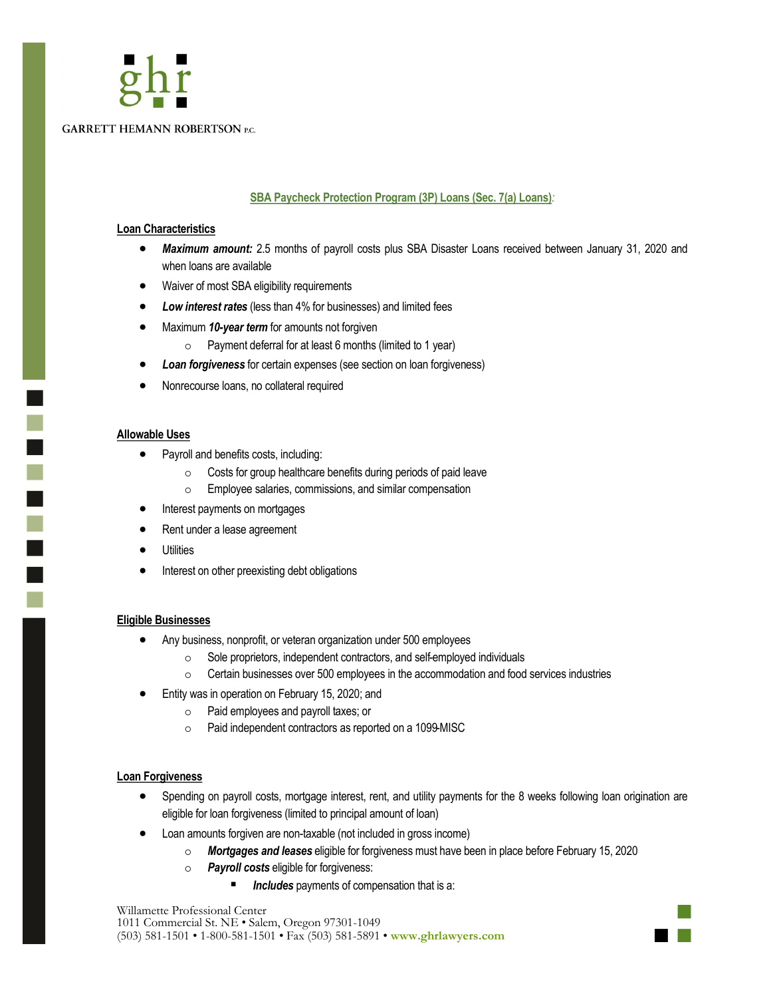# **GARRETT HEMANN ROBERTSON P.C.**

#### **SBA Paycheck Protection Program (3P) Loans (Sec. 7(a) Loans)***:*

#### **Loan Characteristics**

- *Maximum amount:* 2.5 months of payroll costs plus SBA Disaster Loans received between January 31, 2020 and when loans are available
- Waiver of most SBA eligibility requirements
- *Low interest rates* (less than 4% for businesses) and limited fees
- Maximum *10-year term* for amounts not forgiven
	- $\circ$  Payment deferral for at least 6 months (limited to 1 year)
- *Loan forgiveness* for certain expenses (see section on loan forgiveness)
- Nonrecourse loans, no collateral required

#### **Allowable Uses**

٦

n.

- Payroll and benefits costs, including:
	- Costs for group healthcare benefits during periods of paid leave
	- Employee salaries, commissions, and similar compensation
- Interest payments on mortgages
- Rent under a lease agreement
- **Utilities**
- Interest on other preexisting debt obligations

#### **Eligible Businesses**

- Any business, nonprofit, or veteran organization under 500 employees
	- Sole proprietors, independent contractors, and self-employed individuals
	- Certain businesses over 500 employees in the accommodation and food services industries
- Entity was in operation on February 15, 2020; and
	- Paid employees and payroll taxes; or
	- Paid independent contractors as reported on a 1099-MISC

#### **Loan Forgiveness**

- Spending on payroll costs, mortgage interest, rent, and utility payments for the 8 weeks following loan origination are eligible for loan forgiveness (limited to principal amount of loan)
- Loan amounts forgiven are non-taxable (not included in gross income)
	- *Mortgages and leases* eligible for forgiveness must have been in place before February 15, 2020
	- *Payroll costs* eligible for forgiveness:
		- Includes payments of compensation that is a:

Willamette Professional Center 1011 Commercial St. NE • Salem, Oregon 97301-1049 (503) 581-1501 • 1-800-581-1501 • Fax (503) 581-5891 • **www.ghrlawyers.com**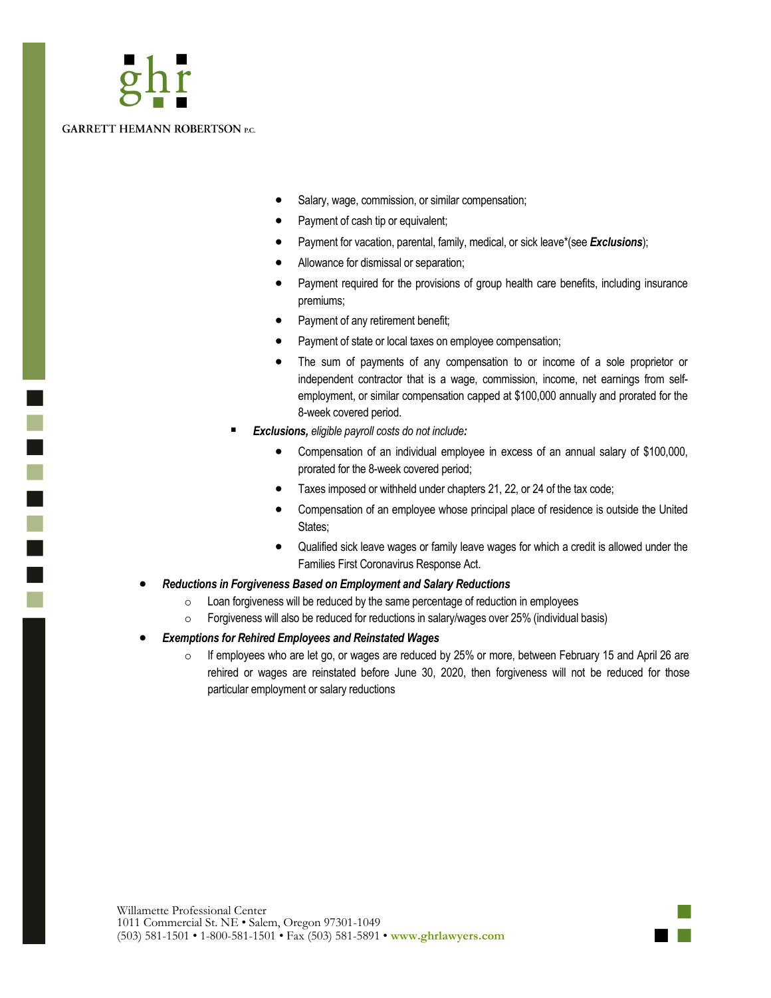n.

- Salary, wage, commission, or similar compensation;
- Payment of cash tip or equivalent;
- Payment for vacation, parental, family, medical, or sick leave\*(see *Exclusions*);
- Allowance for dismissal or separation;
- Payment required for the provisions of group health care benefits, including insurance premiums;
- Payment of any retirement benefit;
- Payment of state or local taxes on employee compensation;
- The sum of payments of any compensation to or income of a sole proprietor or independent contractor that is a wage, commission, income, net earnings from selfemployment, or similar compensation capped at \$100,000 annually and prorated for the 8-week covered period.
- *Exclusions, eligible payroll costs do not include:*
	- Compensation of an individual employee in excess of an annual salary of \$100,000, prorated for the 8-week covered period;
	- Taxes imposed or withheld under chapters 21, 22, or 24 of the tax code;
	- Compensation of an employee whose principal place of residence is outside the United States;
	- Qualified sick leave wages or family leave wages for which a credit is allowed under the Families First Coronavirus Response Act.
- *Reductions in Forgiveness Based on Employment and Salary Reductions*
	- $\circ$  Loan forgiveness will be reduced by the same percentage of reduction in employees
	- Forgiveness will also be reduced for reductions in salary/wages over 25% (individual basis)
- *Exemptions for Rehired Employees and Reinstated Wages*
	- $\circ$  If employees who are let go, or wages are reduced by 25% or more, between February 15 and April 26 are rehired or wages are reinstated before June 30, 2020, then forgiveness will not be reduced for those particular employment or salary reductions

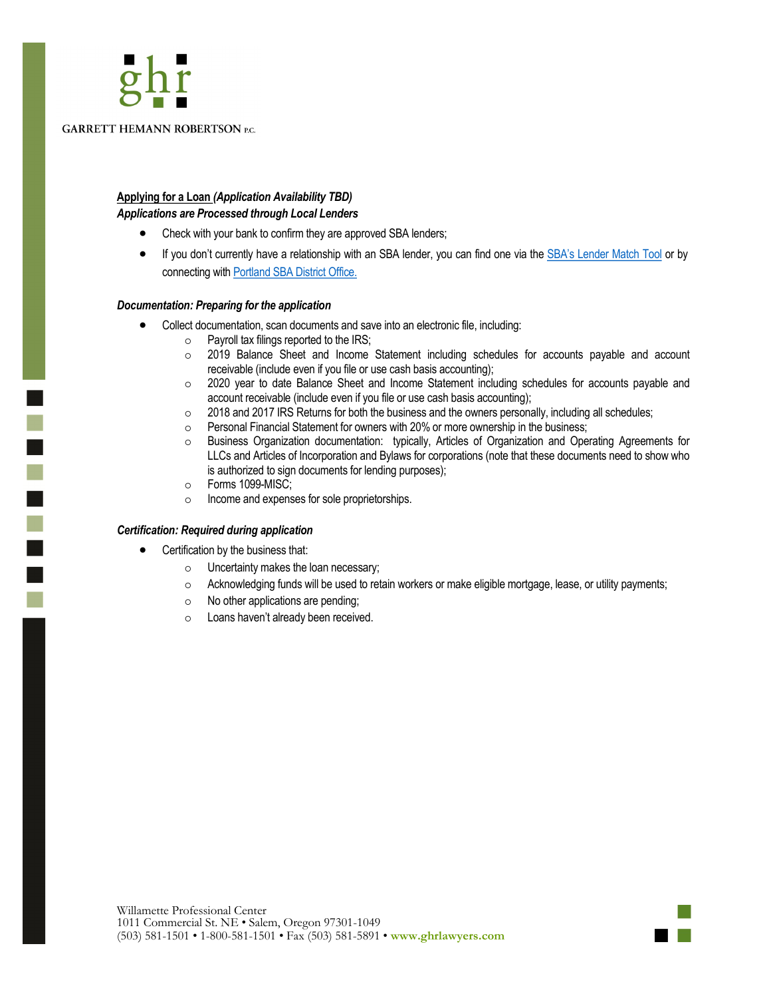

i<br>L

T

**GARRETT HEMANN ROBERTSON P.C.** 

#### **Applying for a Loan** *(Application Availability TBD) Applications are Processed through Local Lenders*

- Check with your bank to confirm they are approved SBA lenders;
- If you don't currently have a relationship with an SBA lender, you can find one via the [SBA's Lender Match Tool](https://www.sba.gov/funding-programs/loans/lender-match) or by connecting with [Portland SBA District Office.](https://www.sba.gov/offices/district/or/portland)

#### *Documentation: Preparing for the application*

- Collect documentation, scan documents and save into an electronic file, including:
	- $\circ$  Payroll tax filings reported to the IRS;
	- 2019 Balance Sheet and Income Statement including schedules for accounts payable and account receivable (include even if you file or use cash basis accounting);
	- 2020 year to date Balance Sheet and Income Statement including schedules for accounts payable and account receivable (include even if you file or use cash basis accounting);
	- $\circ$  2018 and 2017 IRS Returns for both the business and the owners personally, including all schedules;
	- Personal Financial Statement for owners with 20% or more ownership in the business;
	- Business Organization documentation: typically, Articles of Organization and Operating Agreements for LLCs and Articles of Incorporation and Bylaws for corporations (note that these documents need to show who is authorized to sign documents for lending purposes);
	- Forms 1099-MISC;
	- o lncome and expenses for sole proprietorships.

#### *Certification: Required during application*

- Certification by the business that:
	- Uncertainty makes the loan necessary;
	- $\circ$  Acknowledging funds will be used to retain workers or make eligible mortgage, lease, or utility payments;
	- $\circ$  No other applications are pending;
	- Loans haven't already been received.

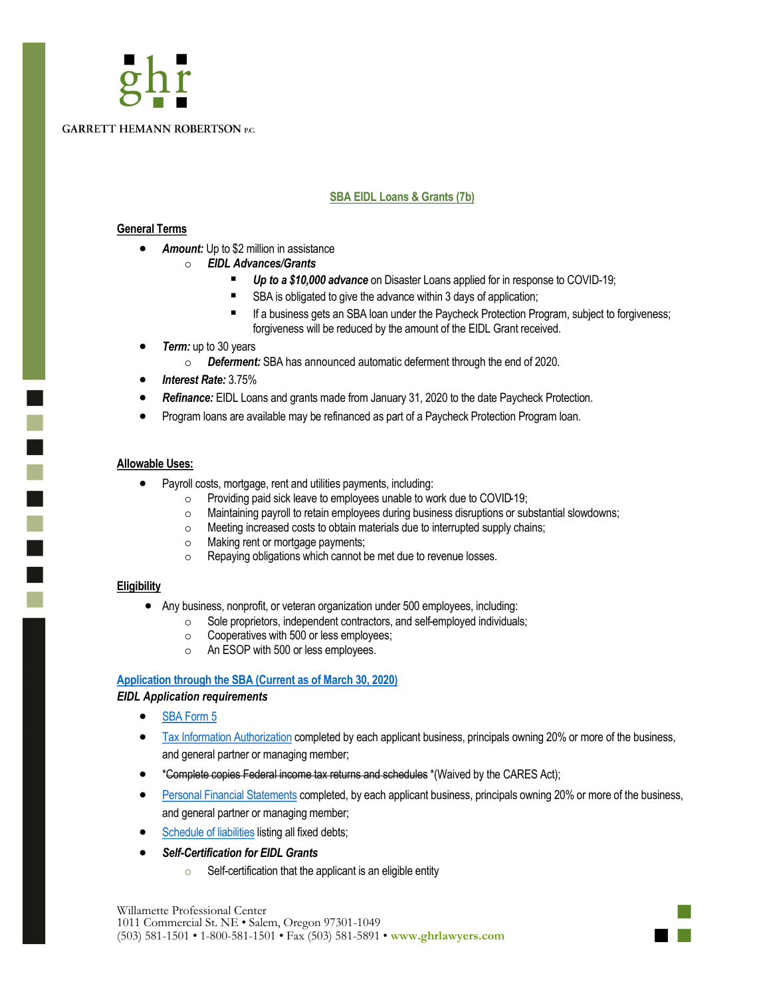

#### **SBA EIDL Loans & Grants (7b)**

#### **General Terms**

- *Amount:* Up to \$2 million in assistance
	- *EIDL Advances/Grants*
		- **Up to a \$10,000 advance** on Disaster Loans applied for in response to COVID-19;
		- SBA is obligated to give the advance within 3 days of application;
		- If a business gets an SBA loan under the Paycheck Protection Program, subject to forgiveness; forgiveness will be reduced by the amount of the EIDL Grant received.
- **Term:** up to 30 years
	- *Deferment:* SBA has announced automatic deferment through the end of 2020.
- *Interest Rate:* 3.75%
- *Refinance:* EIDL Loans and grants made from January 31, 2020 to the date Paycheck Protection.
- Program loans are available may be refinanced as part of a Paycheck Protection Program loan.

#### **Allowable Uses:**

a,

m.

- Payroll costs, mortgage, rent and utilities payments, including:
	- $\circ$  Providing paid sick leave to employees unable to work due to COVID-19;
	- Maintaining payroll to retain employees during business disruptions or substantial slowdowns;
	- Meeting increased costs to obtain materials due to interrupted supply chains;
	- Making rent or mortgage payments;
	- Repaying obligations which cannot be met due to revenue losses.

#### **Eligibility**

- Any business, nonprofit, or veteran organization under 500 employees, including:
	- Sole proprietors, independent contractors, and self-employed individuals;
	- $\circ$  Cooperatives with 500 or less employees;
	- An ESOP with 500 or less employees.

#### **[Application through the SBA \(Current as of March 30, 2020\)](https://covid19relief.sba.gov/#/)**

#### *EIDL Application requirements*

- [SBA Form 5](https://disasterloan.sba.gov/apply-for-disaster-loan/pdfs/Business%20Loan%20Application%20(SBA%20Form%205).pdf)
- [Tax Information Authorization](https://disasterloan.sba.gov/apply-for-disaster-loan/pdfs/Request%20for%20Transcript%20of%20Tax%20Return%20(IRS%20Form%204506-T).pdf) completed by each applicant business, principals owning 20% or more of the business, and general partner or managing member;
- \*Complete copies Federal income tax returns and schedules \*(Waived by the CARES Act);
- [Personal Financial Statements](https://disasterloan.sba.gov/apply-for-disaster-loan/pdfs/Personal%20Financial%20Statement%20(SBA%20Form%20413D).pdf) completed, by each applicant business, principals owning 20% or more of the business, and general partner or managing member;
- [Schedule of liabilities](https://disasterloan.sba.gov/apply-for-disaster-loan/pdfs/Schedule%20of%20Liabilities%20(SBA%20Form%202202).pdf) listing all fixed debts;
- *Self-Certification for EIDL Grants*
	- $\circ$  Self-certification that the applicant is an eligible entity

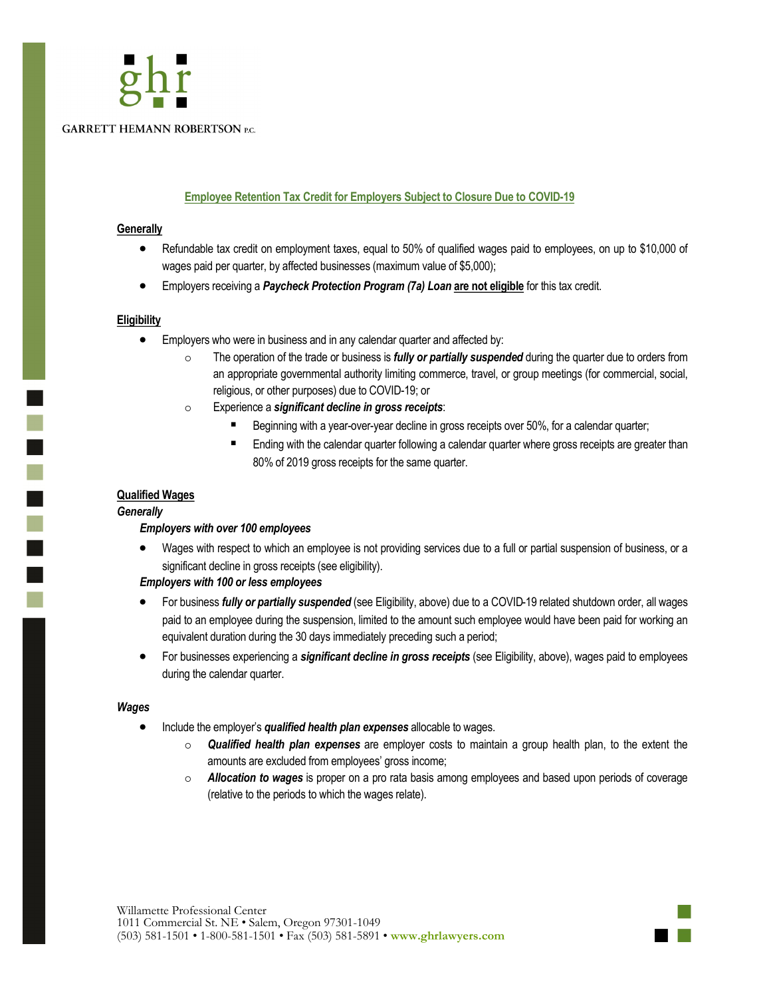

#### **Employee Retention Tax Credit for Employers Subject to Closure Due to COVID-19**

#### **Generally**

- Refundable tax credit on employment taxes, equal to 50% of qualified wages paid to employees, on up to \$10,000 of wages paid per quarter, by affected businesses (maximum value of \$5,000);
- Employers receiving a *Paycheck Protection Program (7a) Loan* **are not eligible** for this tax credit.

#### **Eligibility**

- Employers who were in business and in any calendar quarter and affected by:
	- The operation of the trade or business is *fully or partially suspended* during the quarter due to orders from an appropriate governmental authority limiting commerce, travel, or group meetings (for commercial, social, religious, or other purposes) due to COVID-19; or
	- Experience a *significant decline in gross receipts*:
		- Beginning with a year-over-year decline in gross receipts over 50%, for a calendar quarter;
		- Ending with the calendar quarter following a calendar quarter where gross receipts are greater than 80% of 2019 gross receipts for the same quarter.

#### **Qualified Wages**

#### *Generally*

 $\overline{\phantom{0}}$ T.

#### *Employers with over 100 employees*

• Wages with respect to which an employee is not providing services due to a full or partial suspension of business, or a significant decline in gross receipts (see eligibility).

#### *Employers with 100 or less employees*

- For business *fully or partially suspended* (see Eligibility, above) due to a COVID-19 related shutdown order, all wages paid to an employee during the suspension, limited to the amount such employee would have been paid for working an equivalent duration during the 30 days immediately preceding such a period;
- For businesses experiencing a *significant decline in gross receipts* (see Eligibility, above), wages paid to employees during the calendar quarter.

#### *Wages*

- Include the employer's *qualified health plan expenses* allocable to wages.
	- *Qualified health plan expenses* are employer costs to maintain a group health plan, to the extent the amounts are excluded from employees' gross income;
	- *Allocation to wages* is proper on a pro rata basis among employees and based upon periods of coverage (relative to the periods to which the wages relate).